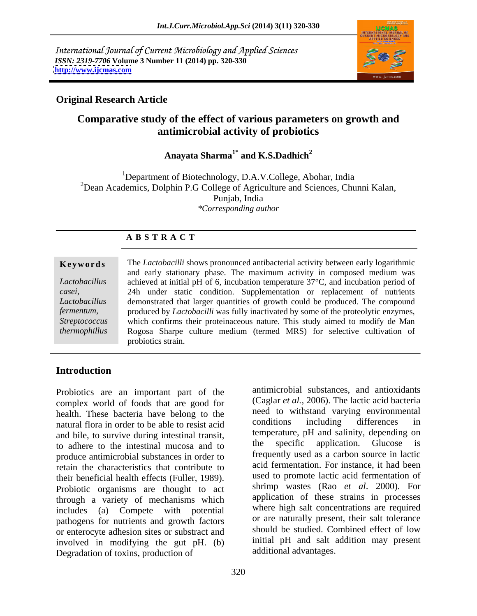International Journal of Current Microbiology and Applied Sciences *ISSN: 2319-7706* **Volume 3 Number 11 (2014) pp. 320-330 <http://www.ijcmas.com>**



### **Original Research Article**

## **Comparative study of the effect of various parameters on growth and antimicrobial activity of probiotics**

#### Anayata Sharma<sup>1\*</sup> and K.S.Dadhich $^2$ **and K.S.Dadhich<sup>2</sup>**

<sup>1</sup>Department of Biotechnology, D.A.V.College, Abohar, India  $2$ Dean Academics, Dolphin P.G College of Agriculture and Sciences, Chunni Kalan, Punjab, India *\*Corresponding author* 

### **A B S T R A C T**

# *casei*, *fermentum*,

**Keywords** The *Lactobacilli* shows pronounced antibacterial activity between early logarithmic *Lactobacillus*  achieved at initial pH of 6, incubation temperature 37°C, and incubation period of *Lactobacillus*  demonstrated that larger quantities of growth could be produced. The compound *Streptococcus*  which confirms their proteinaceous nature. This study aimed to modify de Man *thermophillus* Rogosa Sharpe culture medium (termed MRS) for selective cultivation of and early stationary phase. The maximum activity in composed medium was 24h under static condition. Supplementation or replacement of nutrients produced by *Lactobacilli* was fully inactivated by some of the proteolytic enzymes, probiotics strain.

### **Introduction**

Probiotics are an important part of the complex world of foods that are good for health. These bacteria have belong to the the need to withstand varying environmental<br>natural flora in order to be able to resist acid conditions including differences in natural flora in order to be able to resist acid and bile, to survive during intestinal transit,<br>the specific application. Glucose is<br>the specific application. Glucose is to adhere to the intestinal mucosa and to produce antimicrobial substances in order to retain the characteristics that contribute to their beneficial health effects (Fuller, 1989). Probiotic organisms are thought to act through a variety of mechanisms which includes (a) Compete with potential pathogens for nutrients and growth factors or enterocyte adhesion sites or substract and involved in modifying the gut pH. (b) Degradation of toxins, production of

antimicrobial substances, and antioxidants (Caglar *et al.*, 2006). The lactic acid bacteria need to withstand varying environmental conditions including differences in temperature, pH and salinity, depending on the specific application. Glucose is frequently used as a carbon source in lactic acid fermentation. For instance, it had been used to promote lactic acid fermentation of shrimp wastes (Rao *et al*. 2000). For application of these strains in processes where high salt concentrations are required or are naturally present, their salt tolerance should be studied. Combined effect of low initial pH and salt addition may present additional advantages.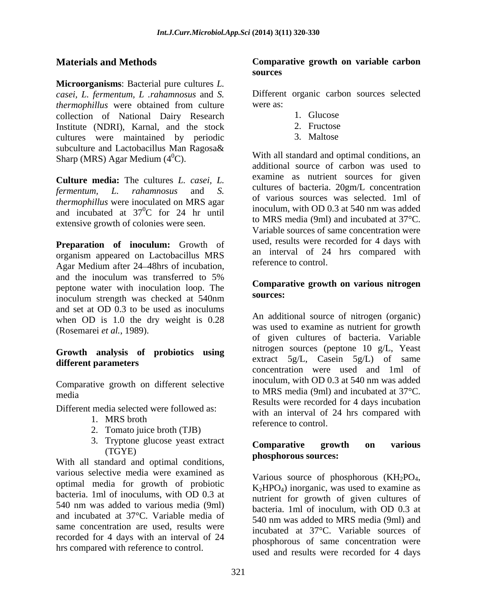**Microorganisms**: Bacterial pure cultures *L. casei, L. fermentum, L .rahamnosus* and *S.* Different organic carbon sources selected *thermophillus* were obtained from culture were as: collection of National Dairy Research Institute (NDRI), Karnal, and the stock 2. Fructose<br>
cultures were maintained by periodic 3. Maltose cultures were maintained by periodic subculture and Lactobacillus Man Ragosa& Sharp (MRS) Agar Medium  $(4^0C)$ .

**Culture media:** The cultures *L. casei, L. thermophillus* were inoculated on MRS agar and incubated at  $37^{\circ}$ C for 24 hr until extensive growth of colonies were seen.

**Preparation of inoculum:** Growth of organism appeared on Lactobacillus MRS Agar Medium after 24 48hrs of incubation, and the inoculum was transferred to 5% peptone water with inoculation loop. The **Compara** inoculum strength was checked at 540nm and set at OD 0.3 to be used as inoculums when OD is 1.0 the dry weight is 0.28 (Rosemarei *et al.*, 1989).

## **Growth analysis of probiotics using**

Comparative growth on different selective

Different media selected were followed as:

- 
- 2. Tomato juice broth (TJB)
- 3. Tryptone glucose yeast extract **Comparative growth on various**

With all standard and optimal conditions, various selective media were examined as<br>Various source of phosphorous (KH<sub>2</sub>PO<sub>4</sub>, optimal media for growth of probiotic  $K_2HPO_4$ ) inorganic, was used to examine as bacteria. 1ml of inoculums, with OD 0.3 at 540 nm was added to various media (9ml) and incubated at 37°C. Variable media of 540 nm was added to MRS media (9ml) and same concentration are used, results were recorded for 4 days with an interval of 24 hrs compared with reference to control.

#### **Materials and Methods Comparative growth on variable carbon sources**

were as:

- 1. Glucose
- 2. Fructose
- 3. Maltose

*fermentum, L. rahamnosus* and *S.*  ${}^{0}C$  for 24 hr until moculum, with OD 0.3 at 540 nm was added With all standard and optimal conditions, an additional source of carbon was used to examine as nutrient sources for given cultures of bacteria. 20gm/L concentration of various sources was selected. 1ml of inoculum, with OD 0.3 at 540 nm was added to MRS media (9ml) and incubated at 37°C. Variable sources of same concentration were used, results were recorded for 4 days with an interval of 24 hrs compared with reference to control.

#### **Comparative growth on various nitrogen sources:**

different parameters extract sylu, casem sylu of same media to MRS media (9ml) and incubated at 37°C. 1. MRS broth reference to control An additional source of nitrogen (organic) was used to examine as nutrient for growth of given cultures of bacteria. Variable nitrogen sources (peptone 10 g/L, Yeast extract 5g/L, Casein 5g/L) of same concentration were used and 1ml of inoculum, with OD 0.3 at 540 nm was added Results were recorded for 4 days incubation with an interval of 24 hrs compared with reference to control.

#### (TGYE) mhosphorous sources: **Comparative growth on various phosphorous sources:**

Various source of phosphorous  $(KH_2PO_4, K_2HPO_4)$  inorganic, was used to examine as nutrient for growth of given cultures of bacteria. 1ml of inoculum, with OD 0.3 at 540 nm was added to MRS media (9ml) and incubated at 37°C. Variable sources of phosphorous of same concentration were used and results were recorded for 4 days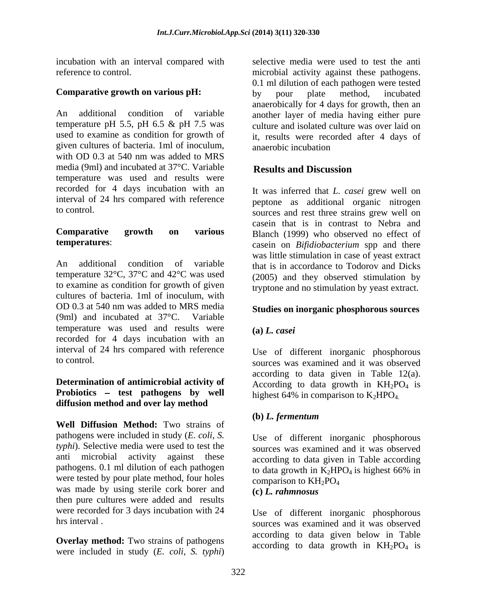incubation with an interval compared with

An additional condition of variable another layer of media having either pure temperature pH 5.5, pH 6.5 & pH 7.5 was culture and isolated culture was over laid on used to examine as condition for growth of it, results were recorded after 4 days of given cultures of bacteria. 1ml of inoculum, with OD 0.3 at 540 nm was added to MRS media (9ml) and incubated at 37°C. Variable temperature was used and results were recorded for 4 days incubation with an interval of 24 hrs compared with reference

An additional condition of variable that is in accordance to Todorov and Dicks temperature 32°C, 37°C and 42°C was used (2005) and they observed stimulation by to examine as condition for growth of given cultures of bacteria. 1ml of inoculum, with OD 0.3 at 540 nm was added to MRS media **Studies on inorganic phosphorous sources** (9ml) and incubated at 37°C. Variable temperature was used and results were  $(a) L \cdot casei$ recorded for 4 days incubation with an interval of 24 hrs compared with reference

#### **Determination of antimicrobial activity of Probiotics – test pathogens by well diffusion method and over lay method**

**Well Diffusion Method:** Two strains of pathogens were included in study (*E. coli, S. typhi*). Selective media were used to test the anti microbial activity against these according to data given in Table according pathogens. 0.1 ml dilution of each pathogen to data growth in  $K_2HPO_4$  is highest 66% in were tested by pour plate method, four holes comparison to  $KH_2PO_4$ was made by using sterile cork borer and  $(c)$  *L*, rahmnosus then pure cultures were added and results were recorded for 3 days incubation with 24

**Overlay method:** Two strains of pathogens were included in study (*E. coli, S. typhi*)

reference to control. microbial activity against these pathogens. **Comparative growth on various pH:** by pour plate method, incubated selective media were used to test the anti 0.1 ml dilution of each pathogen were tested by pour plate method, incubated anaerobically for 4 days for growth, then an anaerobic incubation

### **Results and Discussion**

to control. sources and rest three strains grew well on **Comparative growth on various** Blanch (1999) who observed no effect of **temperatures**: casein on *Bifidiobacterium* spp and there It was inferred that *L. casei* grew well on peptone as additional organic nitrogen casein that is in contrast to Nebra and was little stimulation in case of yeast extract tryptone and no stimulation by yeast extract.

#### **Studies on inorganic phosphorous sources**

#### **(a)** *L. casei*

to control. sources was examined and it was observed Use of different inorganic phosphorous according to data given in Table 12(a). According to data growth in  $KH_2PO_4$  is highest 64% in comparison to  $K_2HPO<sub>4</sub>$ .

#### **(b)** *L. fermentum*

Use of different inorganic phosphorous sources was examined and it was observed to data growth in  $K_2HPO_4$  is highest 66% in comparison to  $KH_2PO_4$ **(c)** *L. rahmnosus*

hrs interval . The sources was examined and it was observed Use of different inorganic phosphorous according to data given below in Table according to data growth in  $KH_2PO_4$  is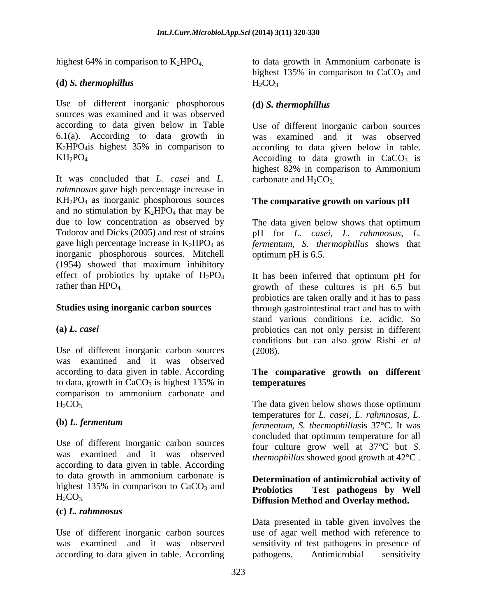Use of different inorganic phosphorous (d) S. thermophillus sources was examined and it was observed according to data given below in Table Use of different inorganic carbon sources 6.1(a). According to data growth in K2HPO4is highest 35% in comparison to according to data given below in table.

It was concluded that *L. casei* and *L. rahmnosus* gave high percentage increase in KH2PO4 as inorganic phosphorous sources **The comparative growth on various pH** and no stimulation by  $K_2HPO_4$  that may be due to low concentration as observed by due to low concentration as observed by The data given below shows that optimum Todorov and Dicks (2005) and rest of strains pH for *L. casei, L. rahmnosus, L.* gave high percentage increase in K2HPO4 as *fermentum, S. thermophillus* shows that inorganic phosphorous sources. Mitchell (1954) showed that maximum inhibitory effect of probiotics by uptake of  $H_2PO_4$ <br>rather than  $HPO_4$ 

Use of different inorganic carbon sources (2008). was examined and it was observed according to data given in table. According **The comparative growth on different** to data, growth in  $CaCO<sub>3</sub>$  is highest 135% in **temperatures** comparison to ammonium carbonate and

Use of different inorganic carbon sources was examined and it was observed according to data given in table. According to data growth in ammonium carbonate is highest 135% in comparison to  $CaCO<sub>3</sub>$  and

#### **(c)** *L. rahmnosus*

according to data given in table. According pathogens. Antimicrobial sensitivity

highest 64% in comparison to  $K_2 HPO_4$  to data growth in Ammonium carbonate is **(d)** *S. thermophillus* highest 135% in comparison to  $CaCO<sub>3</sub>$  and  $H_2CO_3$ 

### **(d)** *S. thermophillus*

 $KH_2PO_4$  According to data growth in  $CaCO_3$  is was examined and it was observed highest 82% in comparison to Ammonium carbonate and  $H_2CO_3$ .

optimum pH is 6.5.

rather than HPO<sub>4</sub>. The secultures is pH 6.5 but **Studies using inorganic carbon sources** through gastrointestinal tract and has to with **(a)** *L. casei* probiotics can not only persist in different It has been inferred that optimum pH for probiotics are taken orally and it has to pass stand various conditions i.e. acidic. So conditions but can also grow Rishi *et al* (2008).

## **temperatures**

 $H_2CO_3$ . The data given below shows those optimum **(b)** *L. fermentum* temperatures for *L. casei, L. rahmnosus, L. fermentum, S. thermophillus*is 37°C. It was concluded that optimum temperature for all four culture grow well at 37°C but *S. thermophillus* showed good growth at 42°C .

### H2CO3. **Diffusion Method and Overlay method. Determination of antimicrobial activity of Probiotics – Test pathogens by Well**

Use of different inorganic carbon sources use of agar well method with reference to was examined and it was observed sensitivity of test pathogens in presence of Data presented in table given involves the pathogens. Antimicrobial sensitivity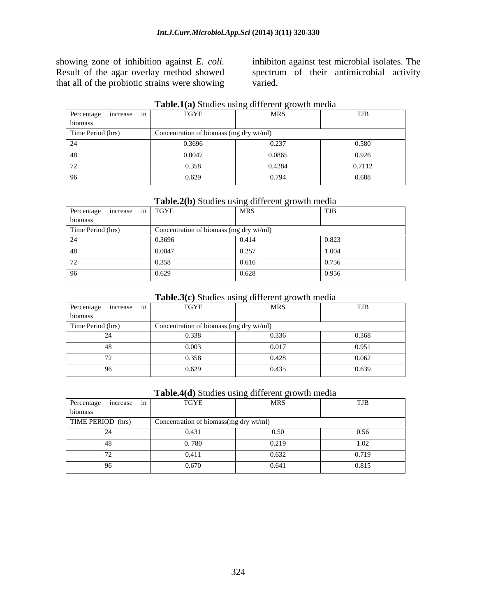that all of the probiotic strains were showing

showing zone of inhibition against *E. coli.* inhibiton against test microbial isolates. The Result of the agar overlay method showed spectrum of their antimicrobial activity varied.

| Percentage increase in | TGYE                                    | MRS    | 1 J D  |
|------------------------|-----------------------------------------|--------|--------|
| <b>nomass</b>          |                                         |        |        |
| Time Period (hrs)      | Concentration of biomass (mg dry wt/ml) |        |        |
|                        | 0.3696<br>                              | 0.237  | 0.580  |
|                        | 0.0047                                  | 0.0865 | 0.926  |
|                        | 0.358                                   | 0.4284 | 0.7112 |
|                        | 0.629                                   | 0.794  | 0.688  |

#### **Table.1(a)** Studies using different growth media

#### **Table.2(b)** Studies using different growth media

| Percentage increase in TGYE |                                         | MRS   | 1 J D             |
|-----------------------------|-----------------------------------------|-------|-------------------|
| biomass                     |                                         |       |                   |
| Time Period (hrs)           | Concentration of biomass (mg dry wt/ml) |       |                   |
|                             | 0.3696                                  | 0.414 | 0.82 <sup>2</sup> |
|                             | 0.0047                                  | 0.257 |                   |
|                             | 0.25c                                   | 0.616 | 0.756             |
|                             |                                         | 0.628 | U.YOU             |

#### **Table.3(c)** Studies using different growth media

| Percentage increase | TGYE                                    | MRS   | TJB   |
|---------------------|-----------------------------------------|-------|-------|
| b10mass             |                                         |       |       |
| Time Period (hrs)   | Concentration of biomass (mg dry wt/ml) |       |       |
|                     | ند د                                    | 0.336 | 0.368 |
|                     | 0.003                                   | 0.017 | 0.951 |
|                     | 11.250<br>u.so                          | 0.428 | በ በሬን |
|                     | $\cup$ con<br>0.022                     | 0.435 | 0.639 |

#### **Table.4(d)** Studies using different growth media

| Percentage increase | TGYE                                   | <b>MRS</b> | TJB      |
|---------------------|----------------------------------------|------------|----------|
| biomass             |                                        |            |          |
| TIME PERIOD (hrs)   | Concentration of biomass(mg dry wt/ml) |            |          |
|                     | 0.431                                  | 0.50       | 0.56     |
|                     | . 780                                  | 0.219      | $1.02 -$ |
|                     |                                        | 0.632      | 0.719    |
|                     | (1671<br>$\sim$ . $\sim$ . $\sim$      | 0.641      | 0.815    |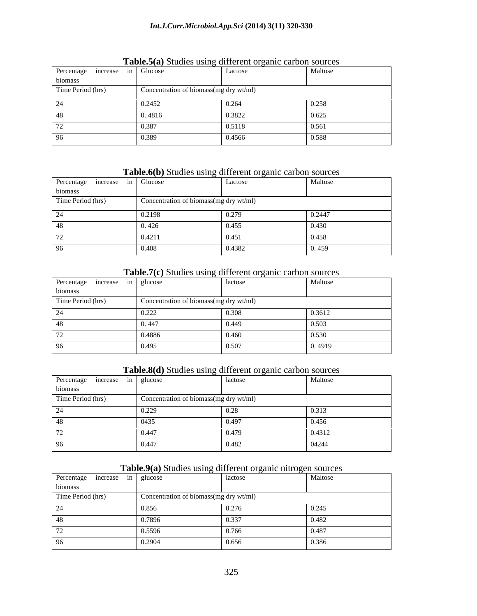| Percentage increase in Glucose |                                        | Lactose | Maltose |
|--------------------------------|----------------------------------------|---------|---------|
| biomass                        |                                        |         |         |
| Time Period (hrs)              | Concentration of biomass(mg dry wt/ml) |         |         |
|                                | 0.2452                                 | 0.264   | 0.258   |
|                                | 0.4816                                 | 0.3822  | 0.625   |
|                                | 0.387                                  | 0.5118  | 0.561   |
|                                | 0.389                                  | 0.4566  | 0.588   |

#### **Table.5(a)** Studies using different organic carbon sources

### **Table.6(b)** Studies using different organic carbon sources

| Percentage increase in Glucose |                                        | Lactose | Maltose |
|--------------------------------|----------------------------------------|---------|---------|
| biomass                        |                                        |         |         |
| Time Period (hrs)              | Concentration of biomass(mg dry wt/ml) |         |         |
|                                | 0.2198                                 | 0.279   | 0.2447  |
|                                | 0.426                                  | 0.455   | 0.430   |
|                                | 0.4211                                 | 0.451   | 0.458   |
|                                | 0.408                                  | 0.4382  | 0.459   |

### **Table.7(c)** Studies using different organic carbon sources

| Percentage increase in glucose |                                        | lactose | Maltose |
|--------------------------------|----------------------------------------|---------|---------|
| biomass                        |                                        |         |         |
| Time Period (hrs)              | Concentration of biomass(mg dry wt/ml) |         |         |
|                                | 0.222                                  | 0.308   | 0.3612  |
|                                | 0.447                                  | 0.449   | 0.503   |
|                                | 0.4886                                 | 0.460   | 0.530   |
|                                | 0.495                                  | 0.507   | 0.4919  |

#### **Table.8(d)** Studies using different organic carbon sources

| Percentage increase in glucose |                                        | lactose | Maltose |
|--------------------------------|----------------------------------------|---------|---------|
| biomass                        |                                        |         |         |
| Time Period (hrs)              | Concentration of biomass(mg dry wt/ml) |         |         |
|                                | 0.229                                  | 0.20    | 0.313   |
|                                | 0435                                   | 0.497   | 0.456   |
|                                | 0.447                                  | 0.479   | 0.4312  |
|                                | 0.447                                  | 0.482   | 04244   |

### **Table.9(a)** Studies using different organic nitrogen sources

| Percentage increase in glucose |        | lactose                                | Maltose |
|--------------------------------|--------|----------------------------------------|---------|
| biomass                        |        |                                        |         |
| Time Period (hrs)              |        | Concentration of biomass(mg dry wt/ml) |         |
|                                | 0.856  | 0.276                                  | 0.245   |
|                                | 0.7896 | 0.337                                  | 0.482   |
|                                | 0.5596 | 0.766                                  | 0.487   |
|                                | 0.2904 | 0.656                                  | 0.386   |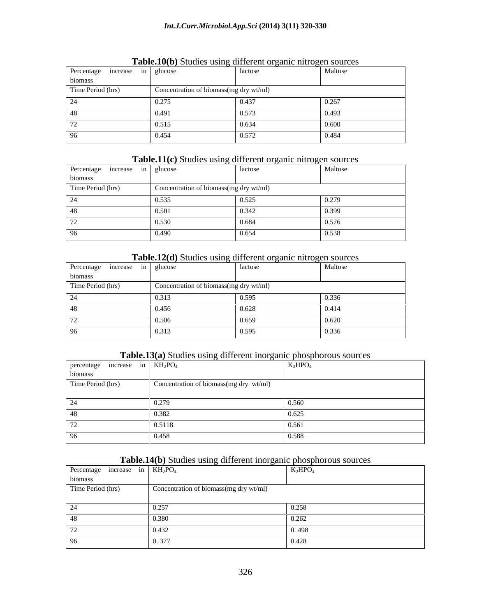| Percentage increase in glucose |                                        | lactose | Maltose |
|--------------------------------|----------------------------------------|---------|---------|
|                                |                                        |         |         |
| biomass                        |                                        |         |         |
| Time Period (hrs)              | Concentration of biomass(mg dry wt/ml) |         |         |
|                                | 0.275                                  | 0.437   | 0.267   |
|                                | 0.491                                  | 0.573   | 0.493   |
|                                | 0.515                                  | 0.634   | 0.600   |
|                                | 0.454                                  | 0.572   | 0.484   |

**Table.10(b)** Studies using different organic nitrogen sources

### **Table.11(c)** Studies using different organic nitrogen sources

| Percentage increase in glucose |       | lactose                                | Maltose        |
|--------------------------------|-------|----------------------------------------|----------------|
| biomass                        |       |                                        |                |
| Time Period (hrs)              |       | Concentration of biomass(mg dry wt/ml) |                |
|                                | 0.535 | 0.525                                  | 0.270<br>0.279 |
|                                | 0.501 | 0.342                                  | 0.399          |
|                                | 0.530 | 0.684                                  | 0.576          |
|                                | 0.490 | 0.654                                  | 0.538          |

#### **Table.12(d)** Studies using different organic nitrogen sources

| Percentage increase in glucose |                                        | lactose | Maltose       |
|--------------------------------|----------------------------------------|---------|---------------|
| biomass                        |                                        |         |               |
| Time Period (hrs)              | Concentration of biomass(mg dry wt/ml) |         |               |
|                                | 0.313                                  | 0.595   | 0.22<br>J.330 |
|                                | 0.456                                  | 0.628   | 0.414         |
|                                | 0.506                                  | 0.659   | 0.620         |
|                                | 0.313                                  | 0.595   | 0.336         |

#### **Table.13(a)** Studies using different inorganic phosphorous sources

| percentage increase in $KH_2PO_4$ |                                        | $K_2HPO_4$ |
|-----------------------------------|----------------------------------------|------------|
| biomass                           |                                        |            |
| Time Period (hrs)                 | Concentration of biomass(mg dry wt/ml) |            |
|                                   |                                        |            |
|                                   | 0.279                                  | 0.560      |
| -48                               | 0.382                                  | 0.625      |
|                                   | 0.5118                                 | 0.561      |
| 96                                | 0.458                                  | 0.588      |

### **Table.14(b)** Studies using different inorganic phosphorous sources

| Percentage increase in $KH_2PO_4$ |                                        | $K_2HPO_4$ |
|-----------------------------------|----------------------------------------|------------|
| biomass                           |                                        |            |
| Time Period (hrs)                 | Concentration of biomass(mg dry wt/ml) |            |
|                                   |                                        |            |
| 24                                | 0.257                                  | 0.258      |
| -48                               | 0.380                                  | 0.262      |
| $\sqrt{2}$                        | 0.432                                  | 0.498      |
| 96                                | 0.377                                  | 0.428      |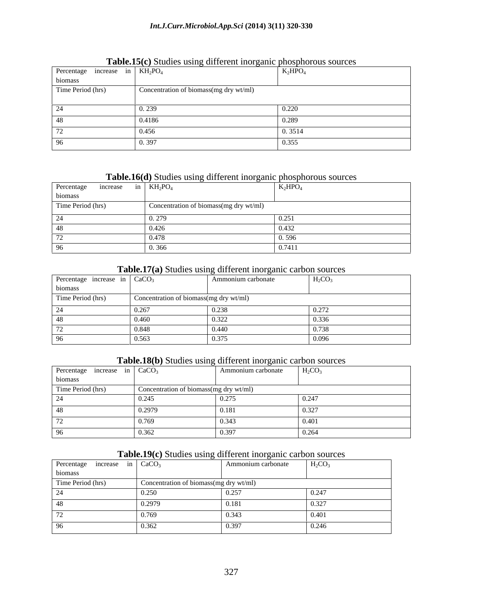| Percentage increase in $KH_2PO_4$ |                                        | $K_2HPO_4$           |
|-----------------------------------|----------------------------------------|----------------------|
| biomass                           |                                        |                      |
| Time Period (hrs)                 | Concentration of biomass(mg dry wt/ml) |                      |
|                                   |                                        |                      |
|                                   | 0.239                                  | 0.22<br><b>0.220</b> |
|                                   | 0.4186                                 | 0.289                |
|                                   | 0.456                                  | 0.3514               |
|                                   | 0.397                                  | 0.355                |

#### **Table.15(c)** Studies using different inorganic phosphorous sources

### **Table.16(d)** Studies using different inorganic phosphorous sources

| Percentage<br>increase | in $KH_2PO_4$                          | $K_2HPO_4$ |
|------------------------|----------------------------------------|------------|
| biomass                |                                        |            |
| Time Period (hrs)      | Concentration of biomass(mg dry wt/ml) |            |
|                        | $\sim$ $\sim$ $\sim$<br>0.21           | 0.251      |
| 48                     | 0.426                                  | 0.432      |
|                        | 0.478                                  | 1.50       |
|                        | 0.25<br>U 366.                         | 0.7411     |

### **Table.17(a)** Studies using different inorganic carbon sources

| Percentage increase in $CaCO3$ |                                        | Ammonium carbonate | $H_2CO_3$            |
|--------------------------------|----------------------------------------|--------------------|----------------------|
| biomass                        |                                        |                    |                      |
| Time Period (hrs)              | Concentration of biomass(mg dry wt/ml) |                    |                      |
|                                | 0.267                                  | 0.238              | 0.272<br>0.214       |
|                                | 0.460                                  | 0.322              | 0.336                |
|                                | 0.848                                  | 0.440              | $\sim$ $\sim$ $\sim$ |
|                                | 0.563                                  | 0.375              | 0.096                |

### **Table.18(b)** Studies using different inorganic carbon sources

| Percentage increase in $CaCO3$ |        | Ammonium carbonate                     | $H_2CO_3$ |
|--------------------------------|--------|----------------------------------------|-----------|
| biomass                        |        |                                        |           |
| Time Period (hrs)              |        | Concentration of biomass(mg dry wt/ml) |           |
|                                | 0.245  | 0.275                                  | 0.247     |
|                                | 0.2979 | 0.181                                  | 0.327     |
|                                | 0.769  | 0.343                                  | 0.401     |
|                                | 0.362  | 0.397                                  | 0.264     |

#### **Table.19(c)** Studies using different inorganic carbon sources

|                     | <b>Rapidity</b> (c) biddies doing unferent morganic edition sources |                    |           |
|---------------------|---------------------------------------------------------------------|--------------------|-----------|
| Percentage increase | in $CaCO3$                                                          | Ammonium carbonate | $H_2CO_3$ |
| biomass             |                                                                     |                    |           |
| Time Period (hrs)   | Concentration of biomass(mg dry wt/ml)                              |                    |           |
|                     | 0.250                                                               | 0.257              | 0.247     |
|                     | 0.2979                                                              | 0.181              | 0.327     |
|                     | 0.769                                                               | 0.343              | 0.401     |
|                     | 0.362                                                               | 0.397              | 0.246     |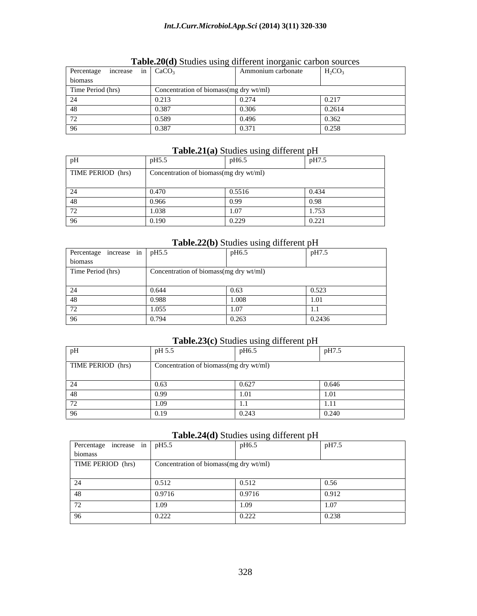| Percentage increase in $CaCO3$ |                                        | Ammonium carbonate | $H_2CO_3$ |
|--------------------------------|----------------------------------------|--------------------|-----------|
| biomass                        |                                        |                    |           |
| Time Period (hrs)              | Concentration of biomass(mg dry wt/ml) |                    |           |
|                                | 0.213                                  | 0.274<br>0.41      | 0.217     |
|                                | 0.387                                  | 0.20               | 0.2614    |
|                                | 0.589                                  | $\sqrt{40}$        | 0.25      |
|                                | 0.387                                  | 0.37               | 0.258     |

#### **Table.20(d)** Studies using different inorganic carbon sources

#### **Table.21(a)** Studies using different pH

|                   | лик к                                  | pH6.5                  | pH7.5           |
|-------------------|----------------------------------------|------------------------|-----------------|
| TIME PERIOD (hrs) | Concentration of biomass(mg dry wt/ml) |                        |                 |
| ∠−                | 0.170                                  | 0.5516                 | 0.434           |
|                   | 0.000<br>unn                           | 0.00<br>U.             |                 |
| $\sim$            | 1.020                                  |                        | 1.753           |
|                   | 100<br>I YU                            | 0.220<br><u>U.ZZ</u> Y | 0.221<br>0.ZZ 1 |

#### **Table.22(b)** Studies using different pH

| Percentage increase in pH5.5 |                                        | pH6.5 | T T T<br>$pH/J$ . |
|------------------------------|----------------------------------------|-------|-------------------|
| biomass                      |                                        |       |                   |
| Time Period (hrs)            | Concentration of biomass(mg dry wt/ml) |       |                   |
|                              |                                        |       |                   |
|                              | 0.644                                  |       | 0.523             |
| -48                          | 0.988                                  | 1.008 |                   |
|                              | 1.055                                  | 1.07  |                   |
| 96                           | 0.794                                  | 0.263 | 0.2436            |

#### **Table.23(c)** Studies using different pH

|                   | pH 5.5 | pH6.5                                  | pH7.5                       |
|-------------------|--------|----------------------------------------|-----------------------------|
| TIME PERIOD (hrs) |        | Concentration of biomass(mg dry wt/ml) |                             |
|                   |        | $\sim$ $\sim$ $\sim$                   | 0.646                       |
|                   |        |                                        |                             |
|                   |        |                                        |                             |
|                   |        |                                        | 0.240<br>0.∠ <del>4</del> ∪ |

#### **Table.24(d)** Studies using different pH

|                              |                                        | $\frac{1}{2}$ |       |
|------------------------------|----------------------------------------|---------------|-------|
| Percentage increase in pH5.5 |                                        | pH6.5         | pH7.5 |
| biomass                      |                                        |               |       |
| TIME PERIOD (hrs)            | Concentration of biomass(mg dry wt/ml) |               |       |
|                              |                                        |               |       |
|                              | 0.512                                  | 0.512         | 0.56  |
| -48                          | 0.9716                                 | 0.9716        | 0.912 |
|                              | 1.09                                   | 1.09          | 1.07  |
| 96                           | 0.222                                  | 0.222         | 0.238 |
|                              |                                        |               |       |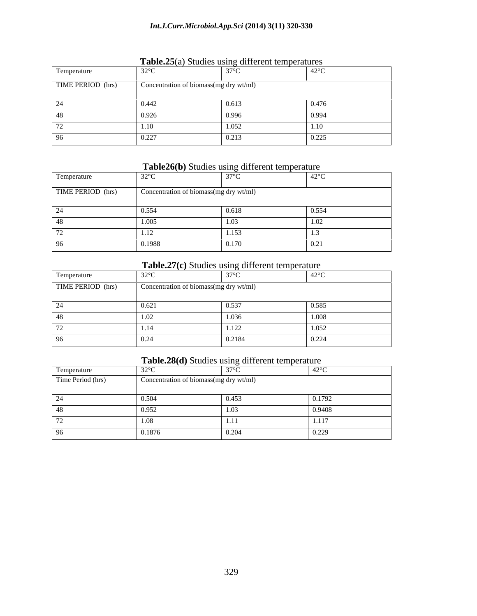| Temperature       | $32^{\circ}$ C                         | 2700  | 1.420C<br>-42°           |
|-------------------|----------------------------------------|-------|--------------------------|
| TIME PERIOD (hrs) | Concentration of biomass(mg dry wt/ml) |       |                          |
|                   |                                        | 0.613 |                          |
|                   | 0.926                                  | 0.996 | $\cap$ 00 $\Lambda$      |
|                   | 1.10                                   | 1.032 | 1.1 <sub>0</sub><br>1.IV |
|                   | 0.227                                  | 0.213 | 0.225<br>0.443           |

#### **Table.25**(a) Studies using different temperatures

#### **Table26(b)** Studies using different temperature

| Temperature | $32^{\circ}$ C                                           | 270C  | 1.128C<br>44                                |
|-------------|----------------------------------------------------------|-------|---------------------------------------------|
|             | TIME PERIOD (hrs) Concentration of biomass(mg dry wt/ml) |       |                                             |
|             | 11 E E A                                                 |       | $\bigcap$ $\subseteq$ $\subseteq$ $\bigcap$ |
|             | 1.00 <sup>4</sup>                                        |       | 1.04                                        |
|             |                                                          | 1.153 |                                             |
|             | 0.1988                                                   | 0.170 |                                             |

#### **Table.27(c)** Studies using different temperature

| Temperature       | 220C                                   | 2700      | 1.420C              |
|-------------------|----------------------------------------|-----------|---------------------|
| TIME PERIOD (hrs) | Concentration of biomass(mg dry wt/ml) |           |                     |
|                   |                                        |           |                     |
|                   | 0.621                                  | 0.537     |                     |
|                   |                                        | . . v . v | $1 \Omega$<br>1.VVO |
|                   | 111                                    | 1.122     | .105 <sub>c</sub>   |
|                   | 0.21                                   | 0.2184    | 0.221<br>0.44       |

### **Table.28(d)** Studies using different temperature

| Temperature       | 2200                                   | 2700   | 1000           |
|-------------------|----------------------------------------|--------|----------------|
| Time Period (hrs) | Concentration of biomass(mg dry wt/ml) |        |                |
|                   |                                        |        |                |
|                   |                                        | 0.453. | 10.1792        |
|                   |                                        |        | 0.9408         |
|                   |                                        |        | 1.117          |
|                   | 0.1876                                 | 0.ZU4  | 0.222<br>0.229 |